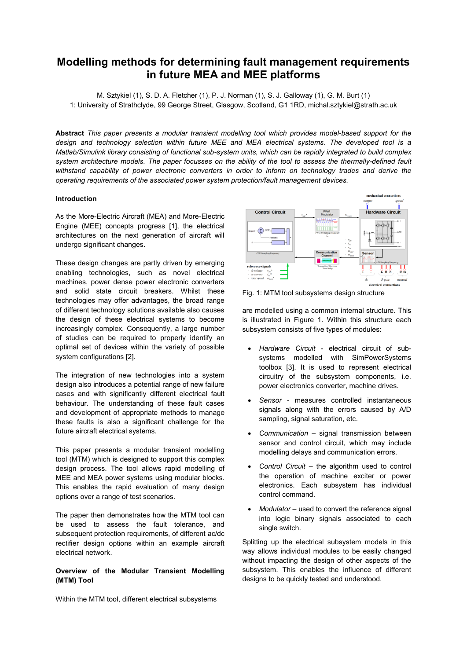# **Modelling methods for determining fault management requirements in future MEA and MEE platforms**

M. Sztykiel (1), S. D. A. Fletcher (1), P. J. Norman (1), S. J. Galloway (1), G. M. Burt (1) 1: University of Strathclyde, 99 George Street, Glasgow, Scotland, G1 1RD, michal.sztykiel@strath.ac.uk

**Abstract** *This paper presents a modular transient modelling tool which provides model-based support for the design and technology selection within future MEE and MEA electrical systems. The developed tool is a Matlab/Simulink library consisting of functional sub-system units, which can be rapidly integrated to build complex system architecture models. The paper focusses on the ability of the tool to assess the thermally-defined fault withstand capability of power electronic converters in order to inform on technology trades and derive the operating requirements of the associated power system protection/fault management devices.*

### **Introduction**

As the More-Electric Aircraft (MEA) and More-Electric Engine (MEE) concepts progress [1], the electrical architectures on the next generation of aircraft will undergo significant changes.

These design changes are partly driven by emerging enabling technologies, such as novel electrical machines, power dense power electronic converters and solid state circuit breakers. Whilst these technologies may offer advantages, the broad range of different technology solutions available also causes the design of these electrical systems to become increasingly complex. Consequently, a large number of studies can be required to properly identify an optimal set of devices within the variety of possible system configurations [2].

The integration of new technologies into a system design also introduces a potential range of new failure cases and with significantly different electrical fault behaviour. The understanding of these fault cases and development of appropriate methods to manage these faults is also a significant challenge for the future aircraft electrical systems.

This paper presents a modular transient modelling tool (MTM) which is designed to support this complex design process. The tool allows rapid modelling of MEE and MEA power systems using modular blocks. This enables the rapid evaluation of many design options over a range of test scenarios.

The paper then demonstrates how the MTM tool can be used to assess the fault tolerance, and subsequent protection requirements, of different ac/dc rectifier design options within an example aircraft electrical network.

# **Overview of the Modular Transient Modelling (MTM) Tool**

Within the MTM tool, different electrical subsystems



Fig. 1: MTM tool subsystems design structure

are modelled using a common internal structure. This is illustrated in Figure 1. Within this structure each subsystem consists of five types of modules:

- *Hardware Circuit* electrical circuit of subsystems modelled with SimPowerSystems toolbox [3]. It is used to represent electrical circuitry of the subsystem components, i.e. power electronics converter, machine drives.
- *Sensor* measures controlled instantaneous signals along with the errors caused by A/D sampling, signal saturation, etc.
- *Communication* signal transmission between sensor and control circuit, which may include modelling delays and communication errors.
- *Control Circuit* the algorithm used to control the operation of machine exciter or power electronics. Each subsystem has individual control command.
- *Modulator*  used to convert the reference signal into logic binary signals associated to each single switch.

Splitting up the electrical subsystem models in this way allows individual modules to be easily changed without impacting the design of other aspects of the subsystem. This enables the influence of different designs to be quickly tested and understood.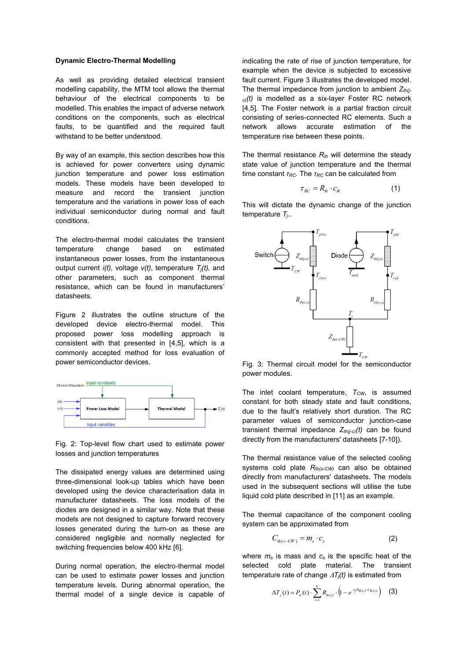#### **Dynamic Electro-Thermal Modelling**

As well as providing detailed electrical transient modelling capability, the MTM tool allows the thermal behaviour of the electrical components to be modelled. This enables the impact of adverse network conditions on the components, such as electrical faults, to be quantified and the required fault withstand to be better understood.

By way of an example, this section describes how this is achieved for power converters using dynamic junction temperature and power loss estimation models. These models have been developed to measure and record the transient junction temperature and the variations in power loss of each individual semiconductor during normal and fault conditions.

The electro-thermal model calculates the transient temperature change based on estimated instantaneous power losses, from the instantaneous output current  $i(t)$ , voltage  $v(t)$ , temperature  $T_i(t)$ , and other parameters, such as component thermal resistance, which can be found in manufacturers' datasheets.

Figure 2 illustrates the outline structure of the developed device electro-thermal model. This proposed power loss modelling approach is consistent with that presented in [4,5], which is a commonly accepted method for loss evaluation of power semiconductor devices.



Fig. 2: Top-level flow chart used to estimate power losses and junction temperatures

The dissipated energy values are determined using three-dimensional look-up tables which have been developed using the device characterisation data in manufacturer datasheets. The loss models of the diodes are designed in a similar way. Note that these models are not designed to capture forward recovery losses generated during the turn-on as these are considered negligible and normally neglected for switching frequencies below 400 kHz [6].

During normal operation, the electro-thermal model can be used to estimate power losses and junction temperature levels. During abnormal operation, the thermal model of a single device is capable of

indicating the rate of rise of junction temperature, for example when the device is subjected to excessive fault current. Figure 3 illustrates the developed model. The thermal impedance from junction to ambient *Zth(jc)(t)* is modelled as a six-layer Foster RC network [4,5]. The Foster network is a partial fraction circuit consisting of series-connected RC elements. Such a network allows accurate estimation of the temperature rise between these points.

The thermal resistance *Rth* will determine the steady state value of junction temperature and the thermal time constant *τRC*. The *τRC* can be calculated from

$$
\tau_{_{RC}} = R_{_{th}} \cdot c_{_{th}} \tag{1}
$$

This will dictate the dynamic change of the junction temperature *Tj*..



Fig. 3: Thermal circuit model for the semiconductor power modules.

The inlet coolant temperature, *TCW*, is assumed constant for both steady state and fault conditions, due to the fault's relatively short duration. The RC parameter values of semiconductor junction-case transient thermal impedance *Zth(j-c)(t)* can be found directly from the manufacturers' datasheets [7-10]).

The thermal resistance value of the selected cooling systems cold plate *Rth(s-CW)* can also be obtained directly from manufacturers' datasheets. The models used in the subsequent sections will utilise the tube liquid cold plate described in [11] as an example.

The thermal capacitance of the component cooling system can be approximated from

$$
C_{th(s-CW)} = m_s \cdot c_s \tag{2}
$$

where *m<sup>s</sup>* is mass and *c<sup>s</sup>* is the specific heat of the selected cold plate material. The transient temperature rate of change  $\Delta T_i(t)$  is estimated from

$$
\Delta T_j(t) = P_d(t) \cdot \sum_{i=1}^{6} R_{\phi(i)} \cdot (1 - e^{-t/R_{\phi(i)} \cdot C_{\phi(i)}})
$$
 (3)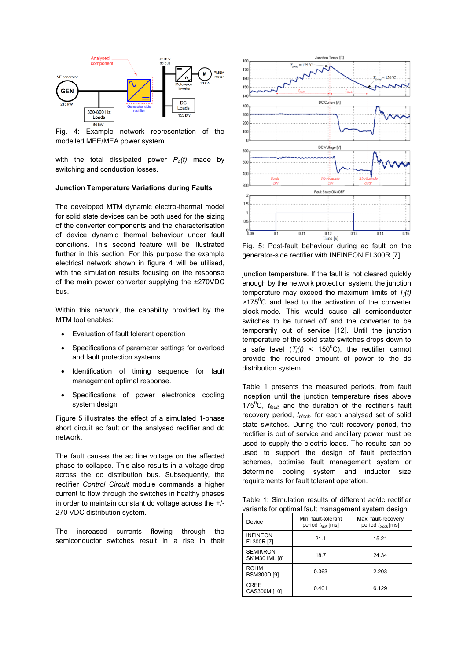

Fig. 4: Example network representation of the modelled MEE/MEA power system

with the total dissipated power  $P_d(t)$  made by switching and conduction losses.

# **Junction Temperature Variations during Faults**

The developed MTM dynamic electro-thermal model for solid state devices can be both used for the sizing of the converter components and the characterisation of device dynamic thermal behaviour under fault conditions. This second feature will be illustrated further in this section. For this purpose the example electrical network shown in figure 4 will be utilised, with the simulation results focusing on the response of the main power converter supplying the ±270VDC bus.

Within this network, the capability provided by the MTM tool enables:

- Evaluation of fault tolerant operation
- Specifications of parameter settings for overload and fault protection systems.
- Identification of timing sequence for fault management optimal response.
- Specifications of power electronics cooling system design

Figure 5 illustrates the effect of a simulated 1-phase short circuit ac fault on the analysed rectifier and dc network.

The fault causes the ac line voltage on the affected phase to collapse. This also results in a voltage drop across the dc distribution bus. Subsequently, the rectifier *Control Circuit* module commands a higher current to flow through the switches in healthy phases in order to maintain constant dc voltage across the +/- 270 VDC distribution system.

The increased currents flowing through the semiconductor switches result in a rise in their



Fig. 5: Post-fault behaviour during ac fault on the generator-side rectifier with INFINEON FL300R [7].

junction temperature. If the fault is not cleared quickly enough by the network protection system, the junction temperature may exceed the maximum limits of *Tj(t)*  $>175^{\circ}$ C and lead to the activation of the converter block-mode. This would cause all semiconductor switches to be turned off and the converter to be temporarily out of service [12]. Until the junction temperature of the solid state switches drops down to a safe level  $(T_i(t) < 150^{\circ}$ C), the rectifier cannot provide the required amount of power to the dc distribution system.

Table 1 presents the measured periods, from fault inception until the junction temperature rises above 175<sup>0</sup>C, *tfault,* and the duration of the rectifier's fault recovery period, *tblock*, for each analysed set of solid state switches. During the fault recovery period, the rectifier is out of service and ancillary power must be used to supply the electric loads. The results can be used to support the design of fault protection schemes, optimise fault management system or determine cooling system and inductor size requirements for fault tolerant operation.

Table 1: Simulation results of different ac/dc rectifier variants for optimal fault management system design

| Device                            | Min. fault-tolerant<br>period $t_{\text{fault}}$ [ms] | Max. fault-recovery<br>period $t_{block}$ [ms] |
|-----------------------------------|-------------------------------------------------------|------------------------------------------------|
| <b>INFINEON</b><br>FL300R [7]     | 21.1                                                  | 15.21                                          |
| <b>SEMIKRON</b><br>SKiM301ML [8]  | 18.7                                                  | 24.34                                          |
| <b>ROHM</b><br><b>BSM300D [9]</b> | 0.363                                                 | 2.203                                          |
| CREE<br>CAS300M [10]              | 0.401                                                 | 6.129                                          |